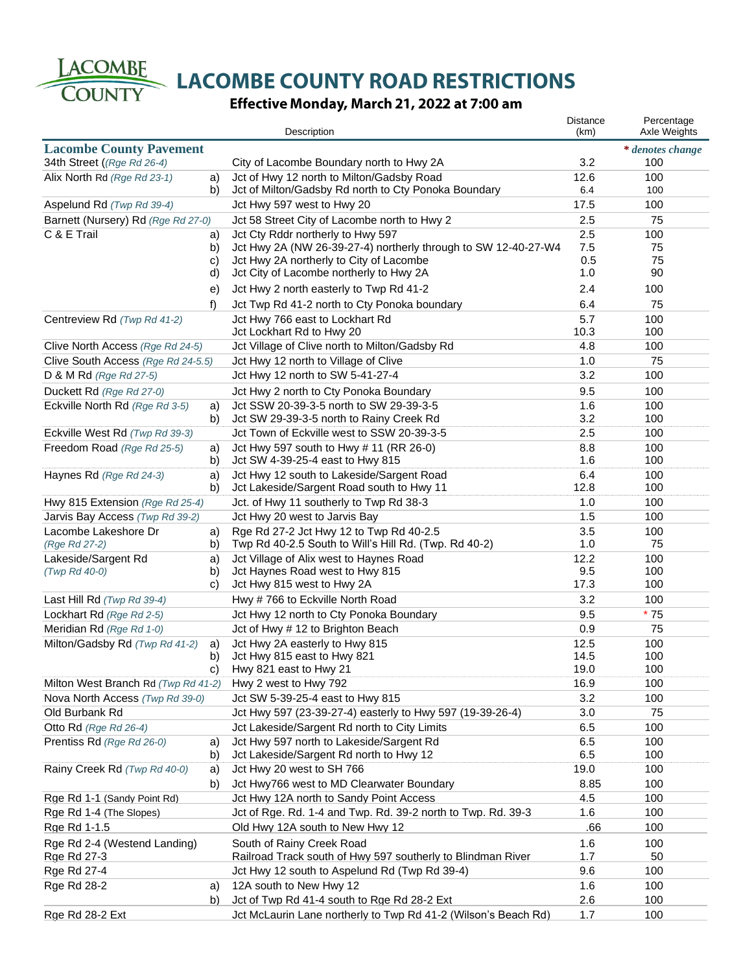LACOMBE

**COUNTY** 

LACOMBE COUNTY ROAD RESTRICTIONS

# Effective Monday, March 21, 2022 at 7:00 am

|                                     |          | Description                                                    | <b>Distance</b><br>(km) | Percentage<br>Axle Weights |
|-------------------------------------|----------|----------------------------------------------------------------|-------------------------|----------------------------|
| <b>Lacombe County Pavement</b>      |          |                                                                |                         | * denotes change           |
| 34th Street ((Rge Rd 26-4)          |          | City of Lacombe Boundary north to Hwy 2A                       | 3.2                     | 100                        |
| Alix North Rd (Rge Rd 23-1)         | a)       | Jct of Hwy 12 north to Milton/Gadsby Road                      | 12.6                    | 100                        |
|                                     | b)       | Jct of Milton/Gadsby Rd north to Cty Ponoka Boundary           | 6.4                     | 100                        |
| Aspelund Rd (Twp Rd 39-4)           |          | Jct Hwy 597 west to Hwy 20                                     | 17.5                    | 100                        |
| Barnett (Nursery) Rd (Rge Rd 27-0)  |          | Jct 58 Street City of Lacombe north to Hwy 2                   | 2.5                     | 75                         |
| C & E Trail                         |          | Jct Cty Rddr northerly to Hwy 597                              | 2.5                     | 100                        |
|                                     | a)<br>b) | Jct Hwy 2A (NW 26-39-27-4) northerly through to SW 12-40-27-W4 | 7.5                     | 75                         |
|                                     | C)       | Jct Hwy 2A northerly to City of Lacombe                        | 0.5                     | 75                         |
|                                     | d)       | Jct City of Lacombe northerly to Hwy 2A                        | 1.0                     | 90                         |
|                                     | e)       | Jct Hwy 2 north easterly to Twp Rd 41-2                        | 2.4                     | 100                        |
|                                     |          |                                                                |                         |                            |
|                                     | f)       | Jct Twp Rd 41-2 north to Cty Ponoka boundary                   | 6.4                     | 75                         |
| Centreview Rd (Twp Rd 41-2)         |          | Jct Hwy 766 east to Lockhart Rd                                | 5.7                     | 100                        |
|                                     |          | Jct Lockhart Rd to Hwy 20                                      | 10.3                    | 100                        |
| Clive North Access (Rge Rd 24-5)    |          | Jct Village of Clive north to Milton/Gadsby Rd                 | 4.8                     | 100                        |
| Clive South Access (Rge Rd 24-5.5)  |          | Jct Hwy 12 north to Village of Clive                           | 1.0                     | 75                         |
| D & M Rd (Rge Rd 27-5)              |          | Jct Hwy 12 north to SW 5-41-27-4                               | 3.2                     | 100                        |
| Duckett Rd (Rge Rd 27-0)            |          | Jct Hwy 2 north to Cty Ponoka Boundary                         | 9.5                     | 100                        |
| Eckville North Rd (Rge Rd 3-5)      | a)       | Jct SSW 20-39-3-5 north to SW 29-39-3-5                        | 1.6                     | 100                        |
|                                     | b)       | Jct SW 29-39-3-5 north to Rainy Creek Rd                       | 3.2                     | 100                        |
| Eckville West Rd (Twp Rd 39-3)      |          | Jct Town of Eckville west to SSW 20-39-3-5                     | 2.5                     | 100                        |
| Freedom Road (Rge Rd 25-5)          | a)       | Jct Hwy 597 south to Hwy # 11 (RR 26-0)                        | 8.8                     | 100                        |
|                                     | b)       | Jct SW 4-39-25-4 east to Hwy 815                               | 1.6                     | 100                        |
| Haynes Rd (Rge Rd 24-3)             | a)       | Jct Hwy 12 south to Lakeside/Sargent Road                      | 6.4                     | 100                        |
|                                     | b)       | Jct Lakeside/Sargent Road south to Hwy 11                      | 12.8                    | 100                        |
| Hwy 815 Extension (Rge Rd 25-4)     |          | Jct. of Hwy 11 southerly to Twp Rd 38-3                        | 1.0                     | 100                        |
| Jarvis Bay Access (Twp Rd 39-2)     |          | Jct Hwy 20 west to Jarvis Bay                                  | 1.5                     | 100                        |
| Lacombe Lakeshore Dr                | a)       | Rge Rd 27-2 Jct Hwy 12 to Twp Rd 40-2.5                        | 3.5                     | 100                        |
| (Rge Rd 27-2)                       | b)       | Twp Rd 40-2.5 South to Will's Hill Rd. (Twp. Rd 40-2)          | 1.0                     | 75                         |
| Lakeside/Sargent Rd                 | a)       | Jct Village of Alix west to Haynes Road                        | 12.2                    | 100                        |
| (Twp Rd 40-0)                       | b)       | Jct Haynes Road west to Hwy 815                                | 9.5                     | 100                        |
|                                     | C)       | Jct Hwy 815 west to Hwy 2A                                     | 17.3                    | 100                        |
| Last Hill Rd (Twp Rd 39-4)          |          | Hwy #766 to Eckville North Road                                | 3.2                     | 100                        |
| Lockhart Rd (Rge Rd 2-5)            |          | Jct Hwy 12 north to Cty Ponoka Boundary                        | 9.5                     | $*75$                      |
| Meridian Rd (Rge Rd 1-0)            |          | Jct of Hwy # 12 to Brighton Beach                              | 0.9                     | 75                         |
| Milton/Gadsby Rd (Twp Rd 41-2)      |          | Jct Hwy 2A easterly to Hwy 815                                 | 12.5                    | 100                        |
|                                     | a)<br>b) | Jct Hwy 815 east to Hwy 821                                    | 14.5                    | 100                        |
|                                     | c)       | Hwy 821 east to Hwy 21                                         | 19.0                    | 100                        |
| Milton West Branch Rd (Twp Rd 41-2) |          | Hwy 2 west to Hwy 792                                          | 16.9                    | 100                        |
|                                     |          | Jct SW 5-39-25-4 east to Hwy 815                               | 3.2                     | 100                        |
| Nova North Access (Twp Rd 39-0)     |          |                                                                |                         |                            |
| Old Burbank Rd                      |          | Jct Hwy 597 (23-39-27-4) easterly to Hwy 597 (19-39-26-4)      | 3.0                     | 75                         |
| Otto Rd (Rge Rd 26-4)               |          | Jct Lakeside/Sargent Rd north to City Limits                   | 6.5                     | 100                        |
| Prentiss Rd (Rge Rd 26-0)           | a)       | Jct Hwy 597 north to Lakeside/Sargent Rd                       | 6.5                     | 100                        |
|                                     | b)       | Jct Lakeside/Sargent Rd north to Hwy 12                        | 6.5                     | 100                        |
| Rainy Creek Rd (Twp Rd 40-0)        | a)       | Jct Hwy 20 west to SH 766                                      | 19.0                    | 100                        |
|                                     | b)       | Jct Hwy766 west to MD Clearwater Boundary                      | 8.85                    | 100                        |
| Rge Rd 1-1 (Sandy Point Rd)         |          | Jct Hwy 12A north to Sandy Point Access                        | 4.5                     | 100                        |
| Rge Rd 1-4 (The Slopes)             |          | Jct of Rge. Rd. 1-4 and Twp. Rd. 39-2 north to Twp. Rd. 39-3   | 1.6                     | 100                        |
| Rge Rd 1-1.5                        |          | Old Hwy 12A south to New Hwy 12                                | .66                     | 100                        |
| Rge Rd 2-4 (Westend Landing)        |          | South of Rainy Creek Road                                      | 1.6                     | 100                        |
| Rge Rd 27-3                         |          | Railroad Track south of Hwy 597 southerly to Blindman River    | 1.7                     | 50                         |
| Rge Rd 27-4                         |          | Jct Hwy 12 south to Aspelund Rd (Twp Rd 39-4)                  | 9.6                     | 100                        |
| Rge Rd 28-2                         | a)       | 12A south to New Hwy 12                                        | 1.6                     | 100                        |
|                                     | b)       | Jct of Twp Rd 41-4 south to Rge Rd 28-2 Ext                    | 2.6                     | 100                        |
| Rge Rd 28-2 Ext                     |          | Jct McLaurin Lane northerly to Twp Rd 41-2 (Wilson's Beach Rd) | 1.7                     | 100                        |
|                                     |          |                                                                |                         |                            |